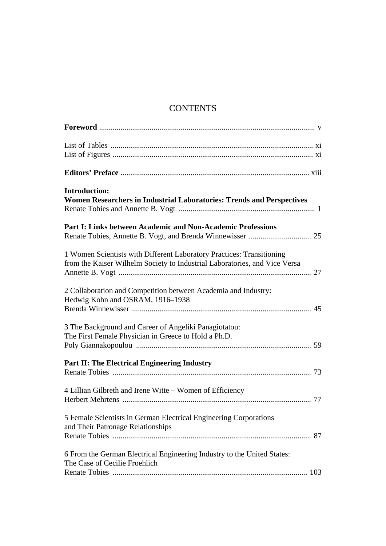# **CONTENTS**

| <b>Introduction:</b><br>Women Researchers in Industrial Laboratories: Trends and Perspectives                                                       |
|-----------------------------------------------------------------------------------------------------------------------------------------------------|
| Part I: Links between Academic and Non-Academic Professions                                                                                         |
| 1 Women Scientists with Different Laboratory Practices: Transitioning<br>from the Kaiser Wilhelm Society to Industrial Laboratories, and Vice Versa |
| 2 Collaboration and Competition between Academia and Industry:<br>Hedwig Kohn and OSRAM, 1916-1938                                                  |
| 3 The Background and Career of Angeliki Panagiotatou:<br>The First Female Physician in Greece to Hold a Ph.D.                                       |
| <b>Part II: The Electrical Engineering Industry</b>                                                                                                 |
| 4 Lillian Gilbreth and Irene Witte – Women of Efficiency                                                                                            |
| 5 Female Scientists in German Electrical Engineering Corporations<br>and Their Patronage Relationships                                              |
| 6 From the German Electrical Engineering Industry to the United States:<br>The Case of Cecilie Froehlich                                            |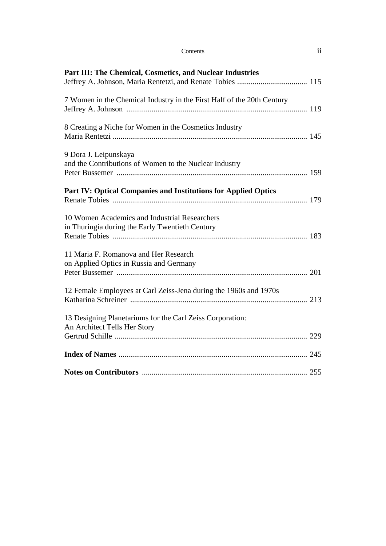| Part III: The Chemical, Cosmetics, and Nuclear Industries                                        |  |
|--------------------------------------------------------------------------------------------------|--|
| 7 Women in the Chemical Industry in the First Half of the 20th Century                           |  |
| 8 Creating a Niche for Women in the Cosmetics Industry                                           |  |
| 9 Dora J. Leipunskaya<br>and the Contributions of Women to the Nuclear Industry                  |  |
| Part IV: Optical Companies and Institutions for Applied Optics                                   |  |
| 10 Women Academics and Industrial Researchers<br>in Thuringia during the Early Twentieth Century |  |
| 11 Maria F. Romanova and Her Research<br>on Applied Optics in Russia and Germany                 |  |
| 12 Female Employees at Carl Zeiss-Jena during the 1960s and 1970s                                |  |
| 13 Designing Planetariums for the Carl Zeiss Corporation:<br>An Architect Tells Her Story        |  |
|                                                                                                  |  |
|                                                                                                  |  |

### Contents ii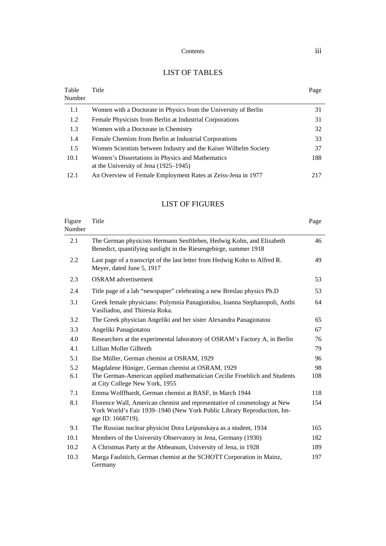## Contents iii

## LIST OF TABLES

| Table<br>Number | Title                                                                                     | Page |
|-----------------|-------------------------------------------------------------------------------------------|------|
| 1.1             | Women with a Doctorate in Physics from the University of Berlin                           | 31   |
| 1.2             | Female Physicists from Berlin at Industrial Corporations                                  | 31   |
| 1.3             | Women with a Doctorate in Chemistry                                                       | 32   |
| 1.4             | Female Chemists from Berlin at Industrial Corporations                                    | 33   |
| 1.5             | Women Scientists between Industry and the Kaiser Wilhelm Society                          | 37   |
| 10.1            | Women's Dissertations in Physics and Mathematics<br>at the University of Jena (1925–1945) | 188  |
| 12.1            | An Overview of Female Employment Rates at Zeiss-Jena in 1977                              | 217  |

## LIST OF FIGURES

| Figure<br>Number | Title                                                                                                                                                                   | Page |
|------------------|-------------------------------------------------------------------------------------------------------------------------------------------------------------------------|------|
| 2.1              | The German physicists Hermann Senftleben, Hedwig Kohn, and Elizabeth<br>Benedict, quantifying sunlight in the Riesengebirge, summer 1918                                | 46   |
| 2.2              | Last page of a transcript of the last letter from Hedwig Kohn to Alfred R.<br>Meyer, dated June 5, 1917                                                                 | 49   |
| 2.3              | <b>OSRAM</b> advertisement                                                                                                                                              | 53   |
| 2.4              | Title page of a lab "newspaper" celebrating a new Breslau physics Ph.D                                                                                                  | 53   |
| 3.1              | Greek female physicians: Polymnia Panagiotidou, Ioanna Stephanopoli, Anthi<br>Vasiliadou, and Thiresia Roka.                                                            | 64   |
| 3.2              | The Greek physician Angeliki and her sister Alexandra Panagiotatou                                                                                                      | 65   |
| 3.3              | Angeliki Panagiotatou                                                                                                                                                   | 67   |
| 4.0              | Researchers at the experimental laboratory of OSRAM's Factory A, in Berlin                                                                                              | 76   |
| 4.1              | Lillian Moller Gilbreth                                                                                                                                                 | 79   |
| 5.1              | Ilse Müller, German chemist at OSRAM, 1929                                                                                                                              | 96   |
| 5.2              | Magdalene Hüniger, German chemist at OSRAM, 1929                                                                                                                        | 98   |
| 6.1              | The German-American applied mathematician Cecilie Froehlich and Students<br>at City College New York, 1955                                                              | 108  |
| 7.1              | Emma Wolffhardt, German chemist at BASF, in March 1944                                                                                                                  | 118  |
| 8.1              | Florence Wall, American chemist and representative of cosmetology at New<br>York World's Fair 1939–1940 (New York Public Library Reproduction, Im-<br>age ID: 1668719). | 154  |
| 9.1              | The Russian nuclear physicist Dora Leipunskaya as a student, 1934                                                                                                       | 165  |
| 10.1             | Members of the University Observatory in Jena, Germany (1930)                                                                                                           | 182  |
| 10.2             | A Christmas Party at the Abbeanum, University of Jena, in 1928                                                                                                          | 189  |
| 10.3             | Marga Faulstich, German chemist at the SCHOTT Corporation in Mainz,<br>Germany                                                                                          | 197  |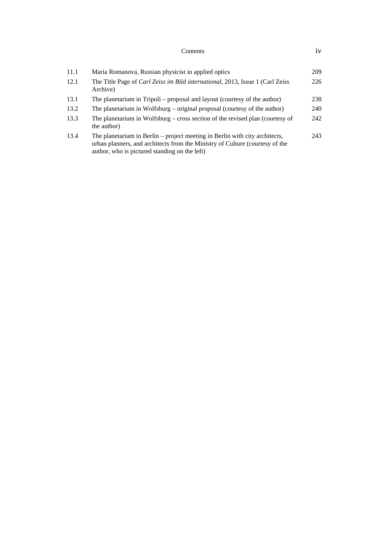#### Contents iv

| 11.1 | Maria Romanova, Russian physicist in applied optics                                                                                                                                                          | 209 |
|------|--------------------------------------------------------------------------------------------------------------------------------------------------------------------------------------------------------------|-----|
| 12.1 | The Title Page of <i>Carl Zeiss im Bild international</i> , 2013, Issue 1 (Carl Zeiss)<br>Archive)                                                                                                           | 226 |
| 13.1 | The planetarium in Tripoli – proposal and layout (courtesy of the author)                                                                                                                                    | 238 |
| 13.2 | The planetarium in Wolfsburg – original proposal (courtesy of the author)                                                                                                                                    | 240 |
| 13.3 | The planetarium in Wolfsburg – cross section of the revised plan (courtesy of<br>the author)                                                                                                                 | 242 |
| 13.4 | The planetarium in Berlin – project meeting in Berlin with city architects,<br>urban planners, and architects from the Ministry of Culture (courtesy of the<br>author, who is pictured standing on the left) | 243 |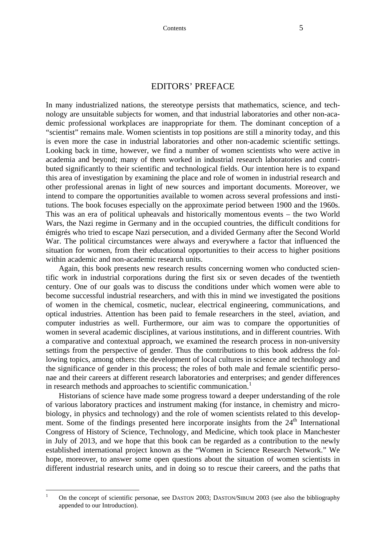## EDITORS' PREFACE

In many industrialized nations, the stereotype persists that mathematics, science, and technology are unsuitable subjects for women, and that industrial laboratories and other non-academic professional workplaces are inappropriate for them. The dominant conception of a "scientist" remains male. Women scientists in top positions are still a minority today, and this is even more the case in industrial laboratories and other non-academic scientific settings. Looking back in time, however, we find a number of women scientists who were active in academia and beyond; many of them worked in industrial research laboratories and contributed significantly to their scientific and technological fields. Our intention here is to expand this area of investigation by examining the place and role of women in industrial research and other professional arenas in light of new sources and important documents. Moreover, we intend to compare the opportunities available to women across several professions and institutions. The book focuses especially on the approximate period between 1900 and the 1960s. This was an era of political upheavals and historically momentous events – the two World Wars, the Nazi regime in Germany and in the occupied countries, the difficult conditions for émigrés who tried to escape Nazi persecution, and a divided Germany after the Second World War. The political circumstances were always and everywhere a factor that influenced the situation for women, from their educational opportunities to their access to higher positions within academic and non-academic research units.

Again, this book presents new research results concerning women who conducted scientific work in industrial corporations during the first six or seven decades of the twentieth century. One of our goals was to discuss the conditions under which women were able to become successful industrial researchers, and with this in mind we investigated the positions of women in the chemical, cosmetic, nuclear, electrical engineering, communications, and optical industries. Attention has been paid to female researchers in the steel, aviation, and computer industries as well. Furthermore, our aim was to compare the opportunities of women in several academic disciplines, at various institutions, and in different countries. With a comparative and contextual approach, we examined the research process in non-university settings from the perspective of gender. Thus the contributions to this book address the following topics, among others: the development of local cultures in science and technology and the significance of gender in this process; the roles of both male and female scientific personae and their careers at different research laboratories and enterprises; and gender differences in research methods and approaches to scientific communication.<sup>1</sup>

Historians of science have made some progress toward a deeper understanding of the role of various laboratory practices and instrument making (for instance, in chemistry and microbiology, in physics and technology) and the role of women scientists related to this development. Some of the findings presented here incorporate insights from the  $24<sup>th</sup>$  International Congress of History of Science, Technology, and Medicine, which took place in Manchester in July of 2013, and we hope that this book can be regarded as a contribution to the newly established international project known as the "Women in Science Research Network." We hope, moreover, to answer some open questions about the situation of women scientists in different industrial research units, and in doing so to rescue their careers, and the paths that

1

<sup>1</sup> On the concept of scientific personae, see DASTON 2003; DASTON/SIBUM 2003 (see also the bibliography appended to our Introduction).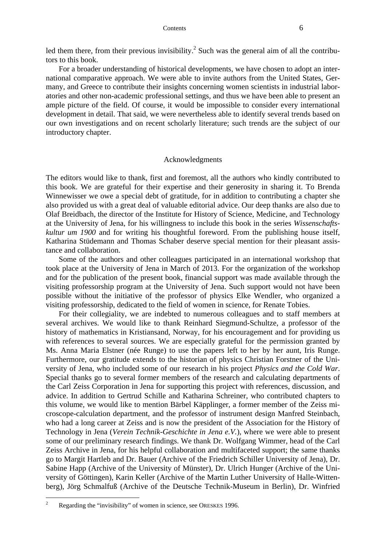led them there, from their previous invisibility.<sup>2</sup> Such was the general aim of all the contributors to this book.

For a broader understanding of historical developments, we have chosen to adopt an international comparative approach. We were able to invite authors from the United States, Germany, and Greece to contribute their insights concerning women scientists in industrial laboratories and other non-academic professional settings, and thus we have been able to present an ample picture of the field. Of course, it would be impossible to consider every international development in detail. That said, we were nevertheless able to identify several trends based on our own investigations and on recent scholarly literature; such trends are the subject of our introductory chapter.

### Acknowledgments

The editors would like to thank, first and foremost, all the authors who kindly contributed to this book. We are grateful for their expertise and their generosity in sharing it. To Brenda Winnewisser we owe a special debt of gratitude, for in addition to contributing a chapter she also provided us with a great deal of valuable editorial advice. Our deep thanks are also due to Olaf Breidbach, the director of the Institute for History of Science, Medicine, and Technology at the University of Jena, for his willingness to include this book in the series *Wissenschaftskultur um 1900* and for writing his thoughtful foreword. From the publishing house itself, Katharina Stüdemann and Thomas Schaber deserve special mention for their pleasant assistance and collaboration.

Some of the authors and other colleagues participated in an international workshop that took place at the University of Jena in March of 2013. For the organization of the workshop and for the publication of the present book, financial support was made available through the visiting professorship program at the University of Jena. Such support would not have been possible without the initiative of the professor of physics Elke Wendler, who organized a visiting professorship, dedicated to the field of women in science, for Renate Tobies.

For their collegiality, we are indebted to numerous colleagues and to staff members at several archives. We would like to thank Reinhard Siegmund-Schultze, a professor of the history of mathematics in Kristiansand, Norway, for his encouragement and for providing us with references to several sources. We are especially grateful for the permission granted by Ms. Anna Maria Elstner (née Runge) to use the papers left to her by her aunt, Iris Runge. Furthermore, our gratitude extends to the historian of physics Christian Forstner of the University of Jena, who included some of our research in his project *Physics and the Cold War*. Special thanks go to several former members of the research and calculating departments of the Carl Zeiss Corporation in Jena for supporting this project with references, discussion, and advice. In addition to Gertrud Schille and Katharina Schreiner, who contributed chapters to this volume, we would like to mention Bärbel Käpplinger, a former member of the Zeiss microscope-calculation department, and the professor of instrument design Manfred Steinbach, who had a long career at Zeiss and is now the president of the Association for the History of Technology in Jena (*Verein Technik-Geschichte in Jena e.V.*), where we were able to present some of our preliminary research findings. We thank Dr. Wolfgang Wimmer, head of the Carl Zeiss Archive in Jena, for his helpful collaboration and multifaceted support; the same thanks go to Margit Hartleb and Dr. Bauer (Archive of the Friedrich Schiller University of Jena), Dr. Sabine Happ (Archive of the University of Münster), Dr. Ulrich Hunger (Archive of the University of Göttingen), Karin Keller (Archive of the Martin Luther University of Halle-Wittenberg), Jörg Schmalfuß (Archive of the Deutsche Technik-Museum in Berlin), Dr. Winfried

1

<sup>2</sup> Regarding the "invisibility" of women in science, see ORESKES 1996.